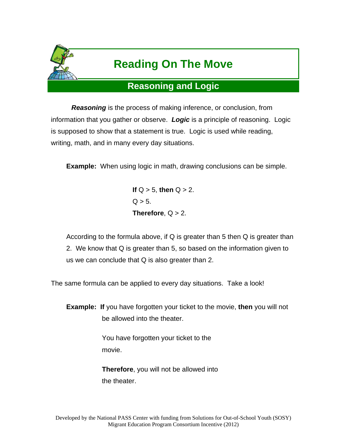

# **Reading On The Move**

## **Reasoning and Logic**

*Reasoning* is the process of making inference, or conclusion, from information that you gather or observe. *Logic* is a principle of reasoning. Logic is supposed to show that a statement is true. Logic is used while reading, writing, math, and in many every day situations.

**Example:** When using logic in math, drawing conclusions can be simple.

**If** Q > 5, **then** Q > 2.  $Q > 5$ . **Therefore**,  $Q > 2$ .

According to the formula above, if Q is greater than 5 then Q is greater than 2. We know that Q is greater than 5, so based on the information given to us we can conclude that Q is also greater than 2.

The same formula can be applied to every day situations. Take a look!

**Example: If** you have forgotten your ticket to the movie, **then** you will not be allowed into the theater.

> You have forgotten your ticket to the movie.

**Therefore**, you will not be allowed into the theater.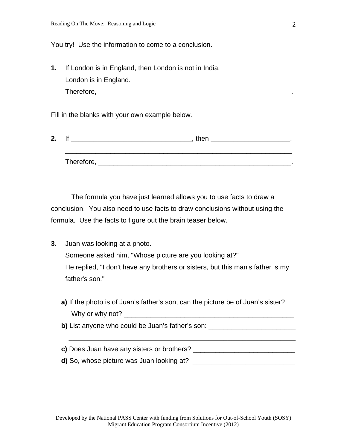You try! Use the information to come to a conclusion.

**1.** If London is in England, then London is not in India. London is in England. Therefore, \_\_\_\_\_\_\_\_\_\_\_\_\_\_\_\_\_\_\_\_\_\_\_\_\_\_\_\_\_\_\_\_\_\_\_\_\_\_\_\_\_\_\_\_\_\_\_\_\_\_\_.

Fill in the blanks with your own example below.

| 2. |            | then |  |
|----|------------|------|--|
|    |            |      |  |
|    | Therefore, |      |  |

 The formula you have just learned allows you to use facts to draw a conclusion. You also need to use facts to draw conclusions without using the formula. Use the facts to figure out the brain teaser below.

- **3.** Juan was looking at a photo. Someone asked him, "Whose picture are you looking at?" He replied, "I don't have any brothers or sisters, but this man's father is my father's son."
	- **a)** If the photo is of Juan's father's son, can the picture be of Juan's sister? Why or why not? \_\_\_\_\_\_\_\_\_\_\_\_\_\_\_\_\_\_\_\_\_\_\_\_\_\_\_\_\_\_\_\_\_\_\_\_\_\_\_\_\_\_\_\_\_

**b)** List anyone who could be Juan's father's son: \_\_\_\_\_\_\_\_\_\_\_\_\_\_\_\_\_\_\_\_\_\_\_\_\_\_\_\_\_\_

 $\overline{\phantom{a}}$  , and the contribution of the contribution of the contribution of the contribution of the contribution of the contribution of the contribution of the contribution of the contribution of the contribution of the

**c)** Does Juan have any sisters or brothers?

**d)** So, whose picture was Juan looking at? \_\_\_\_\_\_\_\_\_\_\_\_\_\_\_\_\_\_\_\_\_\_\_\_\_\_\_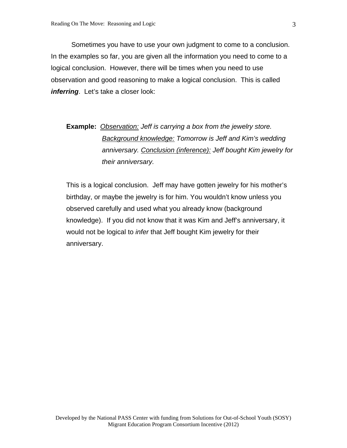Sometimes you have to use your own judgment to come to a conclusion. In the examples so far, you are given all the information you need to come to a logical conclusion. However, there will be times when you need to use observation and good reasoning to make a logical conclusion. This is called *inferring*. Let's take a closer look:

## **Example:** *Observation: Jeff is carrying a box from the jewelry store. Background knowledge: Tomorrow is Jeff and Kim's wedding anniversary. Conclusion (inference): Jeff bought Kim jewelry for their anniversary.*

This is a logical conclusion. Jeff may have gotten jewelry for his mother's birthday, or maybe the jewelry is for him. You wouldn't know unless you observed carefully and used what you already know (background knowledge). If you did not know that it was Kim and Jeff's anniversary, it would not be logical to *infer* that Jeff bought Kim jewelry for their anniversary.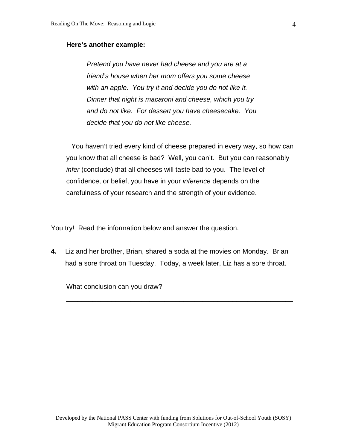#### **Here's another example:**

*Pretend you have never had cheese and you are at a friend's house when her mom offers you some cheese with an apple. You try it and decide you do not like it. Dinner that night is macaroni and cheese, which you try and do not like. For dessert you have cheesecake. You decide that you do not like cheese.* 

 You haven't tried every kind of cheese prepared in every way, so how can you know that all cheese is bad? Well, you can't. But you can reasonably *infer* (conclude) that all cheeses will taste bad to you. The level of confidence, or belief, you have in your *inference* depends on the carefulness of your research and the strength of your evidence.

You try! Read the information below and answer the question.

**4.** Liz and her brother, Brian, shared a soda at the movies on Monday. Brian had a sore throat on Tuesday. Today, a week later, Liz has a sore throat.

\_\_\_\_\_\_\_\_\_\_\_\_\_\_\_\_\_\_\_\_\_\_\_\_\_\_\_\_\_\_\_\_\_\_\_\_\_\_\_\_\_\_\_\_\_\_\_\_\_\_\_\_\_\_\_\_\_\_\_\_

What conclusion can you draw? The contract of the conclusion of the contract of the contract of the contract of the contract of the contract of the contract of the contract of the contract of the contract of the contract o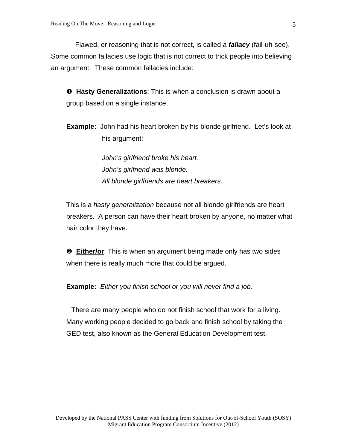Flawed, or reasoning that is not correct, is called a *fallacy* (fail-uh-see). Some common fallacies use logic that is not correct to trick people into believing an argument. These common fallacies include:

**O** Hasty Generalizations: This is when a conclusion is drawn about a group based on a single instance.

**Example:** John had his heart broken by his blonde girlfriend. Let's look at his argument:

> *John's girlfriend broke his heart. John's girlfriend was blonde. All blonde girlfriends are heart breakers.*

This is a *hasty generalization* because not all blonde girlfriends are heart breakers. A person can have their heart broken by anyone, no matter what hair color they have.

 **Either/or**: This is when an argument being made only has two sides when there is really much more that could be argued.

**Example:** *Either you finish school or you will never find a job.*

 There are many people who do not finish school that work for a living. Many working people decided to go back and finish school by taking the GED test, also known as the General Education Development test.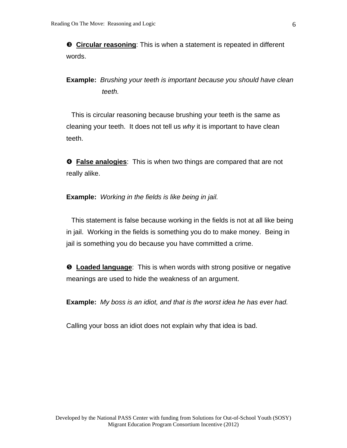**<sup>6</sup>** Circular reasoning: This is when a statement is repeated in different words.

**Example:** *Brushing your teeth is important because you should have clean teeth.* 

 This is circular reasoning because brushing your teeth is the same as cleaning your teeth. It does not tell us *why* it is important to have clean teeth.

 **False analogies**: This is when two things are compared that are not really alike.

#### **Example:** *Working in the fields is like being in jail.*

 This statement is false because working in the fields is not at all like being in jail. Working in the fields is something you do to make money. Being in jail is something you do because you have committed a crime.

**6** Loaded language: This is when words with strong positive or negative meanings are used to hide the weakness of an argument.

**Example:** *My boss is an idiot, and that is the worst idea he has ever had.* 

Calling your boss an idiot does not explain why that idea is bad.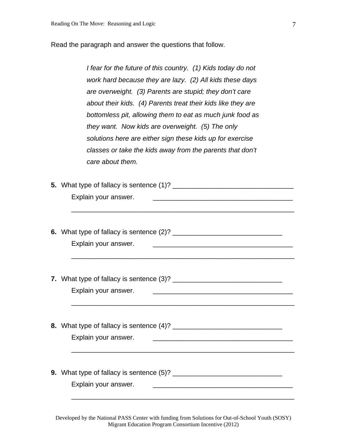Read the paragraph and answer the questions that follow.

*I fear for the future of this country. (1) Kids today do not work hard because they are lazy. (2) All kids these days are overweight. (3) Parents are stupid; they don't care about their kids. (4) Parents treat their kids like they are bottomless pit, allowing them to eat as much junk food as they want. Now kids are overweight. (5) The only solutions here are either sign these kids up for exercise classes or take the kids away from the parents that don't care about them.* 

| 5. What type of fallacy is sentence (1)? |  |
|------------------------------------------|--|
| Explain your answer.                     |  |
|                                          |  |

**6.** What type of fallacy is sentence (2)? \_\_\_\_\_\_\_\_\_\_\_\_\_\_\_\_\_\_\_\_\_\_\_\_\_\_\_\_\_ Explain your answer. \_\_\_\_\_\_\_\_\_\_\_\_\_\_\_\_\_\_\_\_\_\_\_\_\_\_\_\_\_\_\_\_\_\_\_\_\_

 $\overline{\phantom{a}}$  ,  $\overline{\phantom{a}}$  ,  $\overline{\phantom{a}}$  ,  $\overline{\phantom{a}}$  ,  $\overline{\phantom{a}}$  ,  $\overline{\phantom{a}}$  ,  $\overline{\phantom{a}}$  ,  $\overline{\phantom{a}}$  ,  $\overline{\phantom{a}}$  ,  $\overline{\phantom{a}}$  ,  $\overline{\phantom{a}}$  ,  $\overline{\phantom{a}}$  ,  $\overline{\phantom{a}}$  ,  $\overline{\phantom{a}}$  ,  $\overline{\phantom{a}}$  ,  $\overline{\phantom{a}}$ 

**7.** What type of fallacy is sentence (3)? \_\_\_\_\_\_\_\_\_\_\_\_\_\_\_\_\_\_\_\_\_\_\_\_\_\_\_\_\_ Explain your answer.

\_\_\_\_\_\_\_\_\_\_\_\_\_\_\_\_\_\_\_\_\_\_\_\_\_\_\_\_\_\_\_\_\_\_\_\_\_\_\_\_\_\_\_\_\_\_\_\_\_\_\_\_\_\_\_\_\_\_\_

**8.** What type of fallacy is sentence (4)? \_\_\_\_\_\_\_\_\_\_\_\_\_\_\_\_\_\_\_\_\_\_\_\_\_\_\_\_\_ Explain your answer. \_\_\_\_\_\_\_\_\_\_\_\_\_\_\_\_\_\_\_\_\_\_\_\_\_\_\_\_\_\_\_\_\_\_\_\_\_

\_\_\_\_\_\_\_\_\_\_\_\_\_\_\_\_\_\_\_\_\_\_\_\_\_\_\_\_\_\_\_\_\_\_\_\_\_\_\_\_\_\_\_\_\_\_\_\_\_\_\_\_\_\_\_\_\_\_\_

**9.** What type of fallacy is sentence (5)? \_\_\_\_\_\_\_\_\_\_\_\_\_\_\_\_\_\_\_\_\_\_\_\_\_\_\_\_\_ Explain your answer. \_\_\_\_\_\_\_\_\_\_\_\_\_\_\_\_\_\_\_\_\_\_\_\_\_\_\_\_\_\_\_\_\_\_\_\_\_

Developed by the National PASS Center with funding from Solutions for Out-of-School Youth (SOSY) Migrant Education Program Consortium Incentive (2012)

 $\overline{\phantom{a}}$  , and the contribution of the contribution of the contribution of the contribution of the contribution of the contribution of the contribution of the contribution of the contribution of the contribution of the